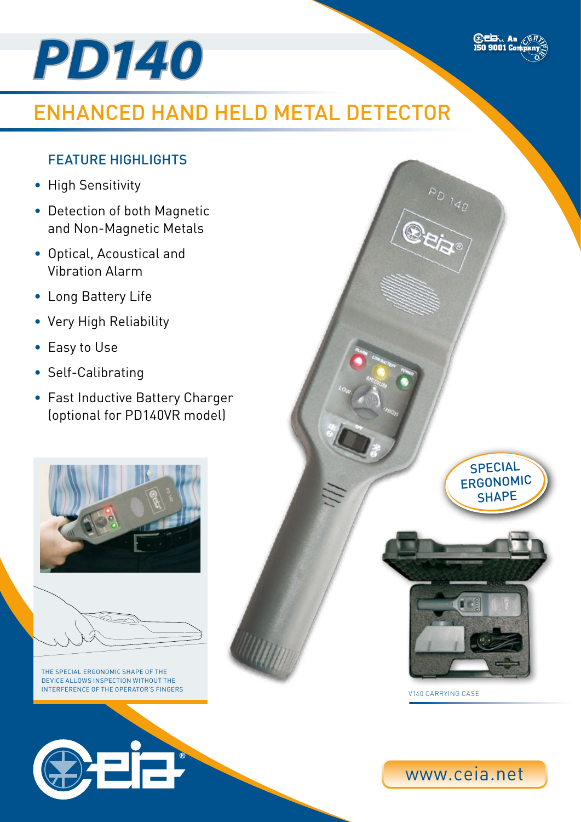

# Enhanced Hand Held Metal Detector

## FEATURE HIGHLIGHTS

- High Sensitivity
- Detection of both Magnetic and Non-Magnetic Metals
- • Optical, Acoustical and Vibration Alarm
- • Long Battery Life
- • Very High Reliability
- Easy to Use
- Self-Calibrating
- • Fast Inductive Battery Charger (optional for PD140VR model)





The special ergonomic shape of the device allows inspection without the interference of the operator's fingers



Special Ergonomic **SHAPE** 

PD 140

**Edd.** An ER



V140 Carrying Case

www.ceia.net